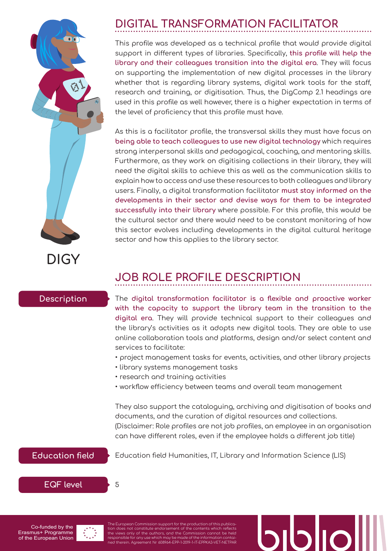# **DIGY**

# **DIGITAL TRANSFORMATION FACILITATOR**

This profile was developed as a technical profile that would provide digital support in different types of libraries. Specifically, **this profile will help the library and their colleagues transition into the digital era**. They will focus on supporting the implementation of new digital processes in the library whether that is regarding library systems, digital work tools for the staff, research and training, or digitisation. Thus, the DigComp 2.1 headings are used in this profile as well however, there is a higher expectation in terms of the level of proficiency that this profile must have.

As this is a facilitator profile, the transversal skills they must have focus on **being able to teach colleagues to use new digital technology** which requires strong interpersonal skills and pedagogical, coaching, and mentoring skills. Furthermore, as they work on digitising collections in their library, they will need the digital skills to achieve this as well as the communication skills to explain how to access and use these resources to both colleagues and library users. Finally, a digital transformation facilitator **must stay informed on the developments in their sector and devise ways for them to be integrated successfully into their library** where possible. For this profile, this would be the cultural sector and there would need to be constant monitoring of how this sector evolves including developments in the digital cultural heritage sector and how this applies to the library sector.

# **JOB ROLE PROFILE DESCRIPTION**

### **Description**

The **digital transformation facilitator is a flexible and proactive worker with the capacity to support the library team in the transition to the digital era**. They will provide technical support to their colleagues and the library's activities as it adopts new digital tools. They are able to use online collaboration tools and platforms, design and/or select content and services to facilitate:

- project management tasks for events, activities, and other library projects
- library systems management tasks
- research and training activities
- workflow efficiency between teams and overall team management

They also support the cataloguing, archiving and digitisation of books and documents, and the curation of digital resources and collections. (Disclaimer: Role profiles are not job profiles, an employee in an organisation can have different roles, even if the employee holds a different job title)

## **Education field**

Education field Humanities, IT, Library and Information Science (LIS)

**EQF level**





The European Commission support for the production of this public<mark>c</mark><br>tion does not constitute endorsement of the contents which reflect tion does not constitute endorsement of the contents which reflects<br>the views only of the authors, and the Commission cannot be held<br>responsible for any use which may be made of the information contai-<br>ned therein. Agreeme

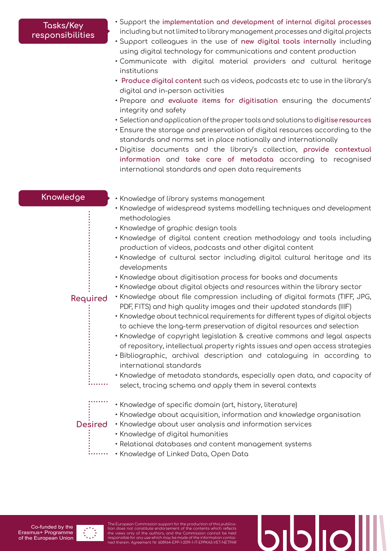### **Tasks/Key responsibilities**

- Support the **implementation and development of internal digital processes** including but not limited to library management processes and digital projects
- Support colleagues in the use of **new digital tools internally** including using digital technology for communications and content production
- Communicate with digital material providers and cultural heritage institutions
- **• Produce digital content** such as videos, podcasts etc to use in the library's digital and in-person activities
- Prepare and **evaluate items for digitisation** ensuring the documents' integrity and safety
- Selection and application of the proper tools and solutions to **digitise resources**
- Ensure the storage and preservation of digital resources according to the standards and norms set in place nationally and internationally
- Digitise documents and the library's collection, **provide contextual information** and **take care of metadata** according to recognised international standards and open data requirements

### **Knowledge**

- Knowledge of library systems management
- Knowledge of widespread systems modelling techniques and development methodologies
- Knowledge of graphic design tools
- Knowledge of digital content creation methodology and tools including production of videos, podcasts and other digital content
- Knowledge of cultural sector including digital cultural heritage and its developments
- Knowledge about digitisation process for books and documents
- Knowledge about digital objects and resources within the library sector

### **Required**

- Knowledge about file compression including of digital formats (TIFF, JPG, PDF, FITS) and high quality images and their updated standards (IIIF)
- Knowledge about technical requirements for different types of digital objects to achieve the long-term preservation of digital resources and selection
- Knowledge of copyright legislation & creative commons and legal aspects of repository, intellectual property rights issues and open access strategies
- Bibliographic, archival description and cataloguing in according to international standards
- Knowledge of metadata standards, especially open data, and capacity of select, tracing schema and apply them in several contexts
- Knowledge of specific domain (art, history, literature)
	- Knowledge about acquisition, information and knowledge organisation

**Desired**

- Knowledge about user analysis and information services
- Knowledge of digital humanities
- Relational databases and content management systems
- Knowledge of Linked Data, Open Data

Co-funded by the Erasmus+ Programme of the European Union

The European Commission support for the production of this publica-tion does not constitute endorsement of the contents which reflects the views only of the authors, and the Commission cannot be held<br>responsible for any use which may be made of the information contai-<br>ned therein. Agreement Nr 608964-EPP-1-2019-1-IT-EPPKA3-VET-NETPAR

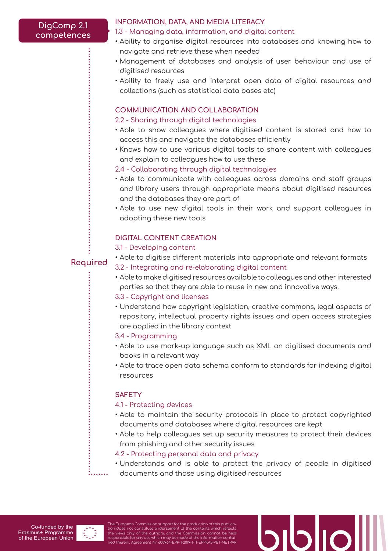### **DigComp 2.1 competences**

### **INFORMATION, DATA, AND MEDIA LITERACY**

### 1.3 - Managing data, information, and digital content

- Ability to organise digital resources into databases and knowing how to navigate and retrieve these when needed
- Management of databases and analysis of user behaviour and use of digitised resources
- Ability to freely use and interpret open data of digital resources and collections (such as statistical data bases etc)

### **COMMUNICATION AND COLLABORATION**

### 2.2 - Sharing through digital technologies

- Able to show colleagues where digitised content is stored and how to access this and navigate the databases efficiently
- Knows how to use various digital tools to share content with colleagues and explain to colleagues how to use these
- 2.4 Collaborating through digital technologies
- Able to communicate with colleagues across domains and staff groups and library users through appropriate means about digitised resources and the databases they are part of
- Able to use new digital tools in their work and support colleagues in adopting these new tools

### **DIGITAL CONTENT CREATION**

### 3.1 - Developing content

**Required**

- Able to digitise different materials into appropriate and relevant formats 3.2 - Integrating and re-elaborating digital content
- Able to make digitised resources available to colleagues and other interested parties so that they are able to reuse in new and innovative ways.
- 3.3 Copyright and licenses
- Understand how copyright legislation, creative commons, legal aspects of repository, intellectual property rights issues and open access strategies are applied in the library context

### 3.4 - Programming

- Able to use mark-up language such as XML on digitised documents and books in a relevant way
- Able to trace open data schema conform to standards for indexing digital resources

### **SAFETY**

### 4.1 - Protecting devices

- Able to maintain the security protocols in place to protect copyrighted documents and databases where digital resources are kept
- Able to help colleagues set up security measures to protect their devices from phishing and other security issues

### 4.2 - Protecting personal data and privacy

• Understands and is able to protect the privacy of people in digitised documents and those using digitised resources

The European Commission support for the production of this publica-tion does not constitute endorsement of the contents which reflects the views only of the authors, and the Commission cannot be held<br>responsible for any use which may be made of the information contai-<br>ned therein. Agreement Nr 608964-EPP-1-2019-1-IT-EPPKA3-VET-NETPAR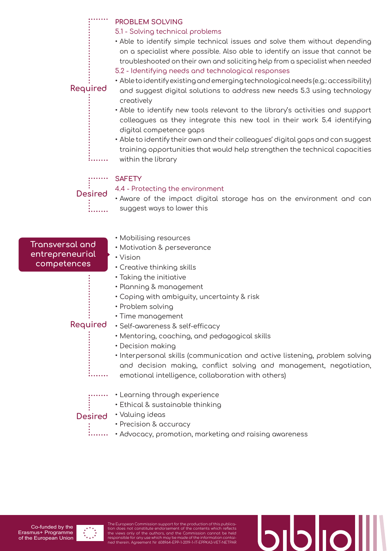**PROBLEM SOLVING**

### 5.1 - Solving technical problems

- Able to identify simple technical issues and solve them without depending on a specialist where possible. Also able to identify an issue that cannot be troubleshooted on their own and soliciting help from a specialist when needed
- 5.2 Identifying needs and technological responses

### **Required**

2. . . . . . .

- Able to identify existing and emerging technological needs (e.g.: accessibility) and suggest digital solutions to address new needs 5.3 using technology creatively
- Able to identify new tools relevant to the library's activities and support colleagues as they integrate this new tool in their work 5.4 identifying digital competence gaps
- Able to identify their own and their colleagues' digital gaps and can suggest training opportunities that would help strengthen the technical capacities within the library

### **SAFETY**

### 4.4 - Protecting the environment

• Aware of the impact digital storage has on the environment and can suggest ways to lower this **Desired**

**Transversal and entrepreneurial competences**

- Mobilising resources
- Motivation & perseverance
- Vision
- Creative thinking skills
- Taking the initiative
- Planning & management
- Coping with ambiguity, uncertainty & risk
- Problem solving
- Time management

### **Required**

. . . . . . . .

- Self-awareness & self-efficacy
	- Mentoring, coaching, and pedagogical skills
	- Decision making
	- Interpersonal skills (communication and active listening, problem solving and decision making, conflict solving and management, negotiation, emotional intelligence, collaboration with others)
- Learning through experience
	- Ethical & sustainable thinking

### • Valuing ideas **Desired**

- Precision & accuracy
- .<br>........ • Advocacy, promotion, marketing and raising awareness



The European Commission support for the production of this publication does not constitute endorsement of the contents which reflects<br>the views only of the authors, and the Commission cannot be held<br>responsible for any use which may be made of the information contai-<br>ned therein. Agreeme